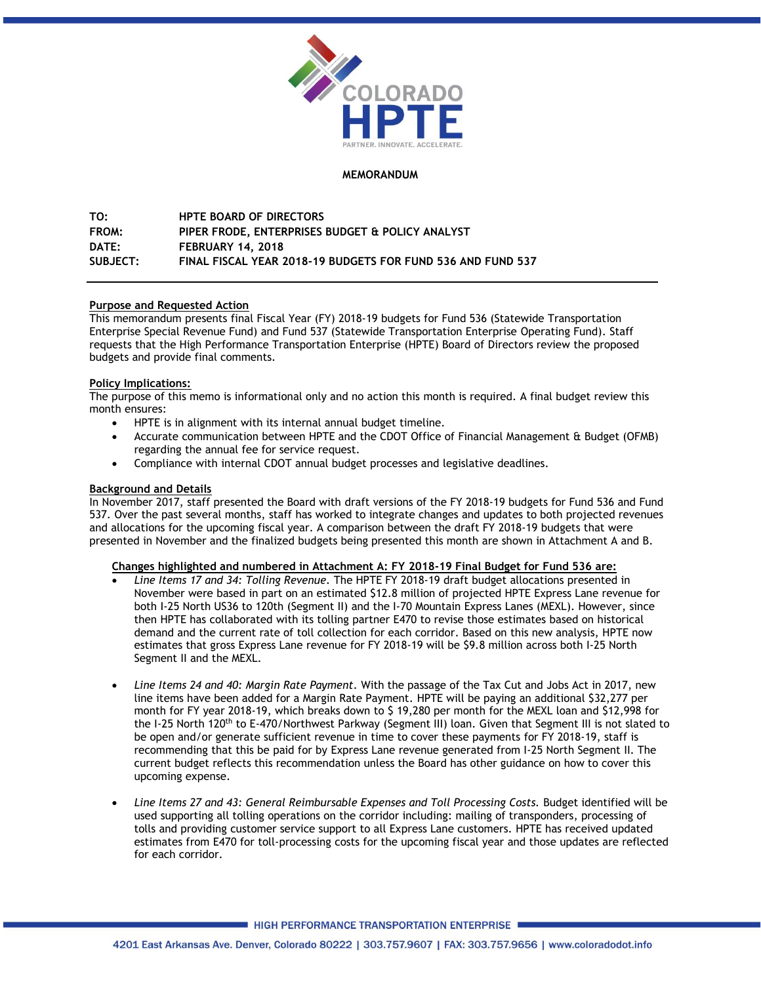

# **MEMORANDUM**

**TO: HPTE BOARD OF DIRECTORS FROM: PIPER FRODE, ENTERPRISES BUDGET & POLICY ANALYST DATE: FEBRUARY 14, 2018 SUBJECT: FINAL FISCAL YEAR 2018-19 BUDGETS FOR FUND 536 AND FUND 537**

# **Purpose and Requested Action**

This memorandum presents final Fiscal Year (FY) 2018-19 budgets for Fund 536 (Statewide Transportation Enterprise Special Revenue Fund) and Fund 537 (Statewide Transportation Enterprise Operating Fund). Staff requests that the High Performance Transportation Enterprise (HPTE) Board of Directors review the proposed budgets and provide final comments.

# **Policy Implications:**

The purpose of this memo is informational only and no action this month is required. A final budget review this month ensures:

- HPTE is in alignment with its internal annual budget timeline.
- Accurate communication between HPTE and the CDOT Office of Financial Management & Budget (OFMB) regarding the annual fee for service request.
- Compliance with internal CDOT annual budget processes and legislative deadlines.

# **Background and Details**

In November 2017, staff presented the Board with draft versions of the FY 2018-19 budgets for Fund 536 and Fund 537. Over the past several months, staff has worked to integrate changes and updates to both projected revenues and allocations for the upcoming fiscal year. A comparison between the draft FY 2018-19 budgets that were presented in November and the finalized budgets being presented this month are shown in Attachment A and B.

# **Changes highlighted and numbered in Attachment A: FY 2018-19 Final Budget for Fund 536 are:**

- *Line Items 17 and 34: Tolling Revenue.* The HPTE FY 2018-19 draft budget allocations presented in November were based in part on an estimated \$12.8 million of projected HPTE Express Lane revenue for both I-25 North US36 to 120th (Segment II) and the I-70 Mountain Express Lanes (MEXL). However, since then HPTE has collaborated with its tolling partner E470 to revise those estimates based on historical demand and the current rate of toll collection for each corridor. Based on this new analysis, HPTE now estimates that gross Express Lane revenue for FY 2018-19 will be \$9.8 million across both I-25 North Segment II and the MEXL.
- *Line Items 24 and 40: Margin Rate Payment*. With the passage of the Tax Cut and Jobs Act in 2017, new line items have been added for a Margin Rate Payment. HPTE will be paying an additional \$32,277 per month for FY year 2018-19, which breaks down to \$ 19,280 per month for the MEXL loan and \$12,998 for the I-25 North 120<sup>th</sup> to E-470/Northwest Parkway (Segment III) loan. Given that Segment III is not slated to be open and/or generate sufficient revenue in time to cover these payments for FY 2018-19, staff is recommending that this be paid for by Express Lane revenue generated from I-25 North Segment II. The current budget reflects this recommendation unless the Board has other guidance on how to cover this upcoming expense.
- *Line Items 27 and 43: General Reimbursable Expenses and Toll Processing Costs.* Budget identified will be used supporting all tolling operations on the corridor including: mailing of transponders, processing of tolls and providing customer service support to all Express Lane customers. HPTE has received updated estimates from E470 for toll-processing costs for the upcoming fiscal year and those updates are reflected for each corridor.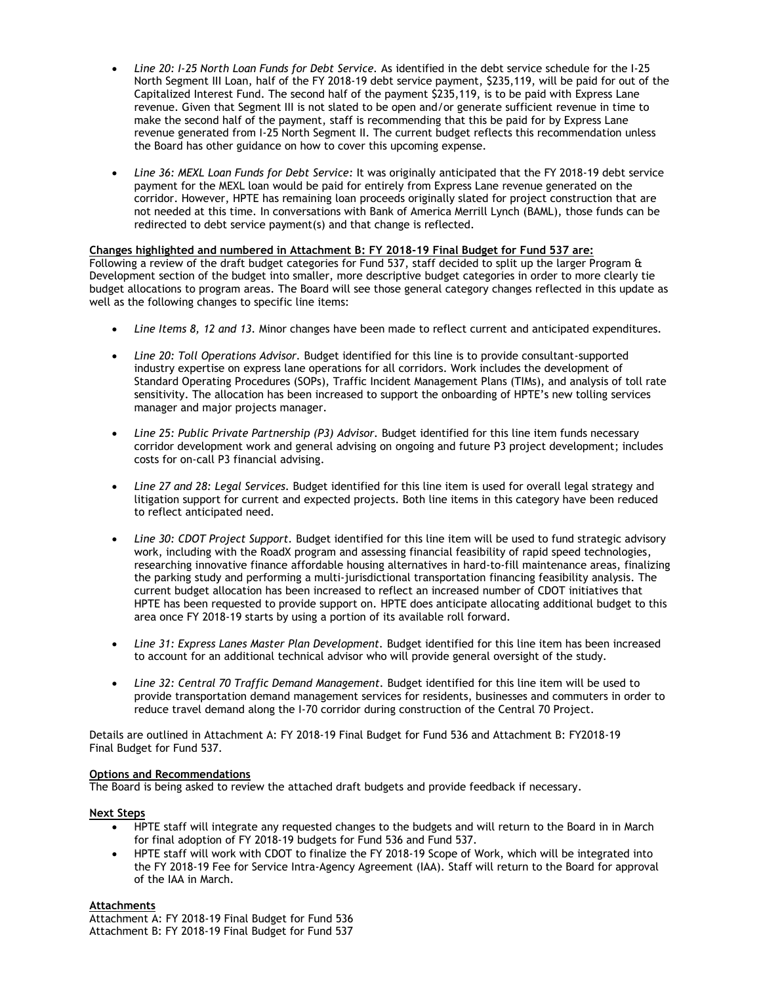- *Line 20: I-25 North Loan Funds for Debt Service.* As identified in the debt service schedule for the I-25 North Segment III Loan, half of the FY 2018-19 debt service payment, \$235,119, will be paid for out of the Capitalized Interest Fund. The second half of the payment \$235,119, is to be paid with Express Lane revenue. Given that Segment III is not slated to be open and/or generate sufficient revenue in time to make the second half of the payment, staff is recommending that this be paid for by Express Lane revenue generated from I-25 North Segment II. The current budget reflects this recommendation unless the Board has other guidance on how to cover this upcoming expense.
- *Line 36: MEXL Loan Funds for Debt Service:* It was originally anticipated that the FY 2018-19 debt service payment for the MEXL loan would be paid for entirely from Express Lane revenue generated on the corridor. However, HPTE has remaining loan proceeds originally slated for project construction that are not needed at this time. In conversations with Bank of America Merrill Lynch (BAML), those funds can be redirected to debt service payment(s) and that change is reflected.

# **Changes highlighted and numbered in Attachment B: FY 2018-19 Final Budget for Fund 537 are:**

Following a review of the draft budget categories for Fund 537, staff decided to split up the larger Program & Development section of the budget into smaller, more descriptive budget categories in order to more clearly tie budget allocations to program areas. The Board will see those general category changes reflected in this update as well as the following changes to specific line items:

- *Line Items 8, 12 and 13.* Minor changes have been made to reflect current and anticipated expenditures.
- *Line 20: Toll Operations Advisor.* Budget identified for this line is to provide consultant-supported industry expertise on express lane operations for all corridors. Work includes the development of Standard Operating Procedures (SOPs), Traffic Incident Management Plans (TIMs), and analysis of toll rate sensitivity. The allocation has been increased to support the onboarding of HPTE's new tolling services manager and major projects manager.
- *Line 25: Public Private Partnership (P3) Advisor.* Budget identified for this line item funds necessary corridor development work and general advising on ongoing and future P3 project development; includes costs for on-call P3 financial advising.
- *Line 27 and 28: Legal Services.* Budget identified for this line item is used for overall legal strategy and litigation support for current and expected projects. Both line items in this category have been reduced to reflect anticipated need.
- *Line 30: CDOT Project Support.* Budget identified for this line item will be used to fund strategic advisory work, including with the RoadX program and assessing financial feasibility of rapid speed technologies, researching innovative finance affordable housing alternatives in hard-to-fill maintenance areas, finalizing the parking study and performing a multi-jurisdictional transportation financing feasibility analysis. The current budget allocation has been increased to reflect an increased number of CDOT initiatives that HPTE has been requested to provide support on. HPTE does anticipate allocating additional budget to this area once FY 2018-19 starts by using a portion of its available roll forward.
- Line 31: Express Lanes Master Plan Development. Budget identified for this line item has been increased to account for an additional technical advisor who will provide general oversight of the study.
- *Line 32: Central 70 Traffic Demand Management.* Budget identified for this line item will be used to provide transportation demand management services for residents, businesses and commuters in order to reduce travel demand along the I-70 corridor during construction of the Central 70 Project.

Details are outlined in Attachment A: FY 2018-19 Final Budget for Fund 536 and Attachment B: FY2018-19 Final Budget for Fund 537.

## **Options and Recommendations**

The Board is being asked to review the attached draft budgets and provide feedback if necessary.

## **Next Steps**

- HPTE staff will integrate any requested changes to the budgets and will return to the Board in in March for final adoption of FY 2018-19 budgets for Fund 536 and Fund 537.
- HPTE staff will work with CDOT to finalize the FY 2018-19 Scope of Work, which will be integrated into the FY 2018-19 Fee for Service Intra-Agency Agreement (IAA). Staff will return to the Board for approval of the IAA in March.

# **Attachments**

Attachment A: FY 2018-19 Final Budget for Fund 536 Attachment B: FY 2018-19 Final Budget for Fund 537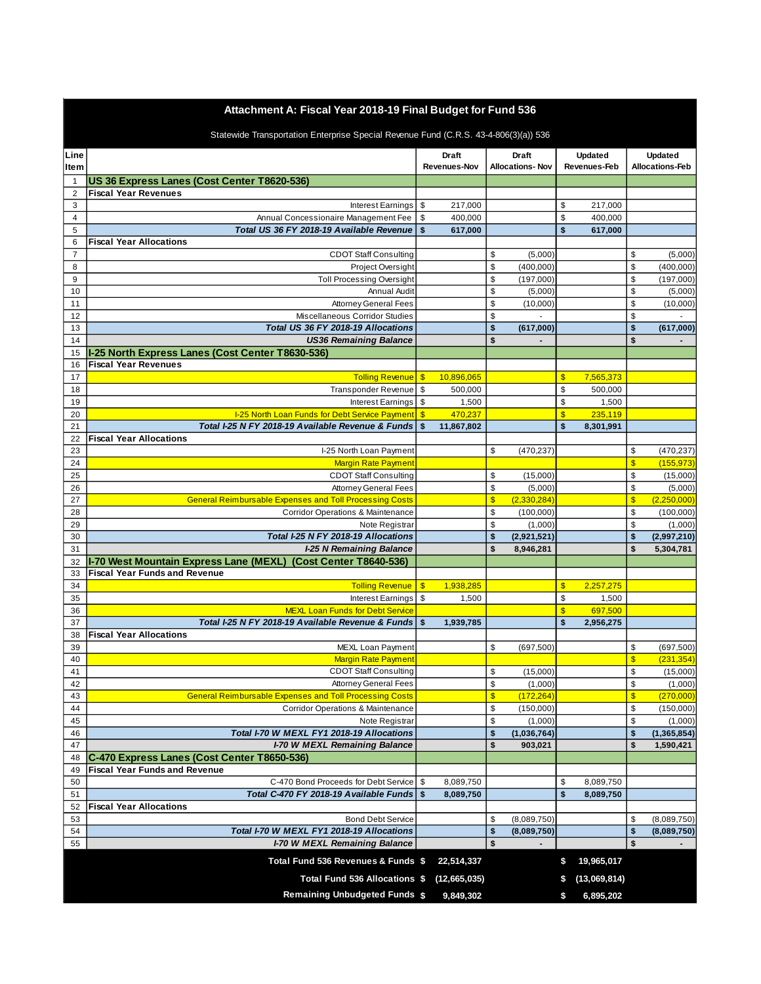# **Attachment A: Fiscal Year 2018-19 Final Budget for Fund 536**

| Statewide Transportation Enterprise Special Revenue Fund (C.R.S. 43-4-806(3)(a)) 536 |  |  |
|--------------------------------------------------------------------------------------|--|--|
|                                                                                      |  |  |

| Line                           |                                                                            |            | <b>Draft</b><br>Revenues-Nov |                         |             |                         | <b>Draft</b><br><b>Allocations-Nov</b> |              |               |  |  |  |  |  | <b>Updated</b><br>Revenues-Feb |  |  |  | Updated<br><b>Allocations-Feb</b> |
|--------------------------------|----------------------------------------------------------------------------|------------|------------------------------|-------------------------|-------------|-------------------------|----------------------------------------|--------------|---------------|--|--|--|--|--|--------------------------------|--|--|--|-----------------------------------|
| <b>Item</b>                    |                                                                            |            |                              |                         |             |                         |                                        |              |               |  |  |  |  |  |                                |  |  |  |                                   |
| $\mathbf{1}$<br>$\overline{2}$ | US 36 Express Lanes (Cost Center T8620-536)<br><b>Fiscal Year Revenues</b> |            |                              |                         |             |                         |                                        |              |               |  |  |  |  |  |                                |  |  |  |                                   |
| 3                              | Interest Earnings                                                          | \$         | 217,000                      |                         |             | \$                      | 217,000                                |              |               |  |  |  |  |  |                                |  |  |  |                                   |
| $\overline{4}$                 | Annual Concessionaire Management Fee                                       | \$         | 400,000                      |                         |             | \$                      | 400,000                                |              |               |  |  |  |  |  |                                |  |  |  |                                   |
| 5                              | Total US 36 FY 2018-19 Available Revenue                                   | \$         | 617,000                      |                         |             | \$                      | 617,000                                |              |               |  |  |  |  |  |                                |  |  |  |                                   |
| 6                              | <b>Fiscal Year Allocations</b>                                             |            |                              |                         |             |                         |                                        |              |               |  |  |  |  |  |                                |  |  |  |                                   |
| $\overline{7}$                 | <b>CDOT Staff Consulting</b>                                               |            |                              | \$                      | (5,000)     |                         |                                        | \$           | (5,000)       |  |  |  |  |  |                                |  |  |  |                                   |
| 8                              | Project Oversight                                                          |            |                              | \$                      | (400,000)   |                         |                                        | \$           | (400,000)     |  |  |  |  |  |                                |  |  |  |                                   |
| 9                              | <b>Toll Processing Oversight</b>                                           |            |                              | \$                      | (197,000)   |                         |                                        | \$           | (197,000)     |  |  |  |  |  |                                |  |  |  |                                   |
| 10                             | <b>Annual Audit</b>                                                        |            |                              | \$                      | (5,000)     |                         |                                        | \$           | (5,000)       |  |  |  |  |  |                                |  |  |  |                                   |
| 11                             | <b>Attorney General Fees</b>                                               |            |                              | \$                      | (10,000)    |                         |                                        | \$           | (10,000)      |  |  |  |  |  |                                |  |  |  |                                   |
| 12                             | Miscellaneous Corridor Studies                                             |            |                              | \$                      |             |                         |                                        | \$           |               |  |  |  |  |  |                                |  |  |  |                                   |
| 13                             | Total US 36 FY 2018-19 Allocations                                         |            |                              | \$                      | (617,000)   |                         |                                        | \$           | (617,000)     |  |  |  |  |  |                                |  |  |  |                                   |
| 14                             | <b>US36 Remaining Balance</b>                                              |            |                              | \$                      |             |                         |                                        | \$           |               |  |  |  |  |  |                                |  |  |  |                                   |
| 15                             | I-25 North Express Lanes (Cost Center T8630-536)                           |            |                              |                         |             |                         |                                        |              |               |  |  |  |  |  |                                |  |  |  |                                   |
| 16                             | <b>Fiscal Year Revenues</b>                                                |            |                              |                         |             |                         |                                        |              |               |  |  |  |  |  |                                |  |  |  |                                   |
| 17                             | <b>Tolling Revenue</b>                                                     | $\sqrt{3}$ | 10,896,065                   |                         |             | \$                      | 7,565,373                              |              |               |  |  |  |  |  |                                |  |  |  |                                   |
| 18                             | <b>Transponder Revenue</b>                                                 | \$         | 500,000                      |                         |             | \$                      | 500,000                                |              |               |  |  |  |  |  |                                |  |  |  |                                   |
| 19                             | <b>Interest Earnings</b>                                                   | \$         | 1,500                        |                         |             | \$                      | 1,500                                  |              |               |  |  |  |  |  |                                |  |  |  |                                   |
| 20                             | I-25 North Loan Funds for Debt Service Payment                             | $\sqrt{3}$ | 470,237                      |                         |             | $\overline{\mathbb{S}}$ | 235,119                                |              |               |  |  |  |  |  |                                |  |  |  |                                   |
| 21                             | Total I-25 N FY 2018-19 Available Revenue & Funds                          | \$         | 11,867,802                   |                         |             | \$                      | 8,301,991                              |              |               |  |  |  |  |  |                                |  |  |  |                                   |
| 22                             | <b>Fiscal Year Allocations</b>                                             |            |                              |                         |             |                         |                                        |              |               |  |  |  |  |  |                                |  |  |  |                                   |
| 23                             | I-25 North Loan Payment                                                    |            |                              | \$                      | (470, 237)  |                         |                                        | \$           | (470, 237)    |  |  |  |  |  |                                |  |  |  |                                   |
| 24                             | <b>Margin Rate Payment</b>                                                 |            |                              |                         |             |                         |                                        | $\mathsf{s}$ | (155, 973)    |  |  |  |  |  |                                |  |  |  |                                   |
| 25                             | <b>CDOT Staff Consulting</b>                                               |            |                              | \$                      | (15,000)    |                         |                                        | \$           | (15,000)      |  |  |  |  |  |                                |  |  |  |                                   |
| 26                             | <b>Attorney General Fees</b>                                               |            |                              | \$                      | (5,000)     |                         |                                        | \$           | (5,000)       |  |  |  |  |  |                                |  |  |  |                                   |
| 27                             | <b>General Reimbursable Expenses and Toll Processing Costs</b>             |            |                              | $\frac{1}{2}$           | (2,330,284) |                         |                                        | $\mathsf{s}$ | (2,250,000)   |  |  |  |  |  |                                |  |  |  |                                   |
| 28                             | Corridor Operations & Maintenance                                          |            |                              | \$                      | (100,000)   |                         |                                        | \$           | (100,000)     |  |  |  |  |  |                                |  |  |  |                                   |
| 29                             | Note Registrar                                                             |            |                              | \$                      | (1,000)     |                         |                                        | \$           | (1,000)       |  |  |  |  |  |                                |  |  |  |                                   |
| 30                             | Total I-25 N FY 2018-19 Allocations                                        |            |                              | \$                      | (2,921,521) |                         |                                        | \$           | (2,997,210)   |  |  |  |  |  |                                |  |  |  |                                   |
| 31                             | <b>I-25 N Remaining Balance</b>                                            |            |                              | \$                      | 8,946,281   |                         |                                        | \$           | 5,304,781     |  |  |  |  |  |                                |  |  |  |                                   |
| 32                             | I-70 West Mountain Express Lane (MEXL) (Cost Center T8640-536)             |            |                              |                         |             |                         |                                        |              |               |  |  |  |  |  |                                |  |  |  |                                   |
| 33                             | <b>Fiscal Year Funds and Revenue</b>                                       |            |                              |                         |             |                         |                                        |              |               |  |  |  |  |  |                                |  |  |  |                                   |
| 34                             | <b>Tolling Revenue</b>                                                     | $\sqrt{3}$ | 1,938,285                    |                         |             | $\overline{\mathbf{S}}$ | 2,257,275                              |              |               |  |  |  |  |  |                                |  |  |  |                                   |
| 35                             | Interest Earnings                                                          | \$         | 1,500                        |                         |             | \$                      | 1,500                                  |              |               |  |  |  |  |  |                                |  |  |  |                                   |
| 36                             | <b>MEXL Loan Funds for Debt Service</b>                                    |            |                              |                         |             | $\overline{\mathbb{S}}$ | 697,500                                |              |               |  |  |  |  |  |                                |  |  |  |                                   |
| 37                             | Total I-25 N FY 2018-19 Available Revenue & Funds                          | \$         | 1,939,785                    |                         |             | \$                      | 2,956,275                              |              |               |  |  |  |  |  |                                |  |  |  |                                   |
| 38                             | <b>Fiscal Year Allocations</b>                                             |            |                              |                         |             |                         |                                        |              |               |  |  |  |  |  |                                |  |  |  |                                   |
| 39                             | MEXL Loan Payment                                                          |            |                              | \$                      | (697, 500)  |                         |                                        | \$           | (697, 500)    |  |  |  |  |  |                                |  |  |  |                                   |
| 40                             | <b>Margin Rate Payment</b>                                                 |            |                              |                         |             |                         |                                        | $\mathsf{s}$ | (231, 354)    |  |  |  |  |  |                                |  |  |  |                                   |
| 41                             | <b>CDOT Staff Consulting</b>                                               |            |                              | \$                      | (15,000)    |                         |                                        | \$           | (15,000)      |  |  |  |  |  |                                |  |  |  |                                   |
| 42                             | <b>Attorney General Fees</b>                                               |            |                              | \$                      | (1,000)     |                         |                                        | \$           | (1,000)       |  |  |  |  |  |                                |  |  |  |                                   |
| 43                             | <b>General Reimbursable Expenses and Toll Processing Costs</b>             |            |                              | $\overline{\mathbf{S}}$ | (172, 264)  |                         |                                        | $\mathsf{s}$ | (270,000)     |  |  |  |  |  |                                |  |  |  |                                   |
| 44                             | <b>Corridor Operations &amp; Maintenance</b>                               |            |                              | \$                      | (150,000)   |                         |                                        | \$           | (150,000)     |  |  |  |  |  |                                |  |  |  |                                   |
| 45                             | Note Registrar                                                             |            |                              | \$                      | (1,000)     |                         |                                        | \$           | (1,000)       |  |  |  |  |  |                                |  |  |  |                                   |
| 46                             | Total I-70 W MEXL FY1 2018-19 Allocations                                  |            |                              | \$                      | (1,036,764) |                         |                                        | \$           | (1, 365, 854) |  |  |  |  |  |                                |  |  |  |                                   |
| 47                             | <b>I-70 W MEXL Remaining Balance</b>                                       |            |                              | \$                      | 903,021     |                         |                                        | \$           | 1,590,421     |  |  |  |  |  |                                |  |  |  |                                   |
| 48                             | C-470 Express Lanes (Cost Center T8650-536)                                |            |                              |                         |             |                         |                                        |              |               |  |  |  |  |  |                                |  |  |  |                                   |
| 49                             | <b>Fiscal Year Funds and Revenue</b>                                       |            |                              |                         |             |                         |                                        |              |               |  |  |  |  |  |                                |  |  |  |                                   |
| 50                             | C-470 Bond Proceeds for Debt Service                                       | \$         | 8,089,750                    |                         |             | \$                      | 8,089,750                              |              |               |  |  |  |  |  |                                |  |  |  |                                   |
| 51                             | Total C-470 FY 2018-19 Available Funds                                     | \$         | 8,089,750                    |                         |             | \$                      | 8,089,750                              |              |               |  |  |  |  |  |                                |  |  |  |                                   |
| 52                             | <b>Fiscal Year Allocations</b>                                             |            |                              |                         |             |                         |                                        |              |               |  |  |  |  |  |                                |  |  |  |                                   |
| 53                             | <b>Bond Debt Service</b>                                                   |            |                              | \$                      | (8,089,750) |                         |                                        | \$           | (8,089,750)   |  |  |  |  |  |                                |  |  |  |                                   |
| 54                             | Total I-70 W MEXL FY1 2018-19 Allocations                                  |            |                              | \$                      | (8,089,750) |                         |                                        | \$           | (8,089,750)   |  |  |  |  |  |                                |  |  |  |                                   |
| 55                             | <b>I-70 W MEXL Remaining Balance</b>                                       |            |                              | \$                      |             |                         |                                        | \$           |               |  |  |  |  |  |                                |  |  |  |                                   |
|                                | Total Fund 536 Revenues & Funds \$                                         |            | 22,514,337                   |                         |             | \$                      | 19,965,017                             |              |               |  |  |  |  |  |                                |  |  |  |                                   |
|                                |                                                                            |            |                              |                         |             |                         |                                        |              |               |  |  |  |  |  |                                |  |  |  |                                   |
|                                | Total Fund 536 Allocations \$                                              |            | (12,665,035)                 |                         |             | \$                      | (13,069,814)                           |              |               |  |  |  |  |  |                                |  |  |  |                                   |
|                                | <b>Remaining Unbudgeted Funds \$</b>                                       |            | 9,849,302                    |                         |             | S                       | 6,895,202                              |              |               |  |  |  |  |  |                                |  |  |  |                                   |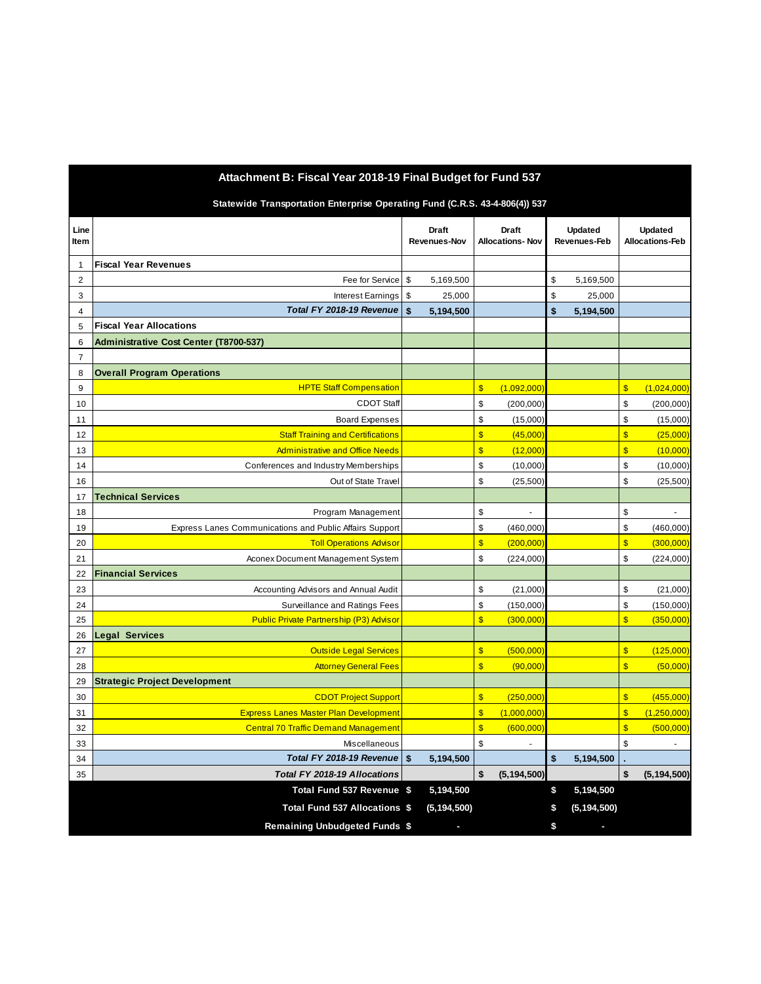| Attachment B: Fiscal Year 2018-19 Final Budget for Fund 537                 |                                                         |    |                              |                         |                                        |                                |               |                                   |               |  |  |
|-----------------------------------------------------------------------------|---------------------------------------------------------|----|------------------------------|-------------------------|----------------------------------------|--------------------------------|---------------|-----------------------------------|---------------|--|--|
| Statewide Transportation Enterprise Operating Fund (C.R.S. 43-4-806(4)) 537 |                                                         |    |                              |                         |                                        |                                |               |                                   |               |  |  |
| Line<br>Item                                                                |                                                         |    | <b>Draft</b><br>Revenues-Nov |                         | <b>Draft</b><br><b>Allocations-Nov</b> | <b>Updated</b><br>Revenues-Feb |               | Updated<br><b>Allocations-Feb</b> |               |  |  |
| $\mathbf{1}$                                                                | <b>Fiscal Year Revenues</b>                             |    |                              |                         |                                        |                                |               |                                   |               |  |  |
| 2                                                                           | Fee for Service                                         | \$ | 5,169,500                    |                         |                                        | \$                             | 5,169,500     |                                   |               |  |  |
| 3                                                                           | Interest Earnings                                       | \$ | 25,000                       |                         |                                        | \$                             | 25,000        |                                   |               |  |  |
| 4                                                                           | Total FY 2018-19 Revenue                                | \$ | 5,194,500                    |                         |                                        | \$                             | 5,194,500     |                                   |               |  |  |
| 5                                                                           | <b>Fiscal Year Allocations</b>                          |    |                              |                         |                                        |                                |               |                                   |               |  |  |
| 6                                                                           | <b>Administrative Cost Center (T8700-537)</b>           |    |                              |                         |                                        |                                |               |                                   |               |  |  |
| $\overline{7}$                                                              |                                                         |    |                              |                         |                                        |                                |               |                                   |               |  |  |
| 8                                                                           | <b>Overall Program Operations</b>                       |    |                              |                         |                                        |                                |               |                                   |               |  |  |
| 9                                                                           | <b>HPTE Staff Compensation</b>                          |    |                              | $\overline{\mathbb{S}}$ | (1,092,000)                            |                                |               | $\sqrt{3}$                        | (1,024,000)   |  |  |
| 10                                                                          | <b>CDOT Staff</b>                                       |    |                              | \$                      | (200,000)                              |                                |               | \$                                | (200,000)     |  |  |
| 11                                                                          | <b>Board Expenses</b>                                   |    |                              | \$                      | (15,000)                               |                                |               | \$                                | (15,000)      |  |  |
| 12                                                                          | <b>Staff Training and Certifications</b>                |    |                              | \$                      | (45,000)                               |                                |               | $\sqrt{3}$                        | (25,000)      |  |  |
| 13                                                                          | <b>Administrative and Office Needs</b>                  |    |                              | $\overline{\mathbb{S}}$ | (12,000)                               |                                |               | $\overline{\mathcal{S}}$          | (10,000)      |  |  |
| 14                                                                          | Conferences and Industry Memberships                    |    |                              | \$                      | (10,000)                               |                                |               | \$                                | (10,000)      |  |  |
| 16                                                                          | Out of State Travel                                     |    |                              | \$                      | (25,500)                               |                                |               | \$                                | (25, 500)     |  |  |
| 17                                                                          | <b>Technical Services</b>                               |    |                              |                         |                                        |                                |               |                                   |               |  |  |
| 18                                                                          | Program Management                                      |    |                              | \$                      | $\sim$                                 |                                |               | \$                                | ä,            |  |  |
| 19                                                                          | Express Lanes Communications and Public Affairs Support |    |                              | \$                      | (460,000)                              |                                |               | \$                                | (460,000)     |  |  |
| 20                                                                          | <b>Toll Operations Advisor</b>                          |    |                              | $\overline{\mathbb{S}}$ | (200,000)                              |                                |               | $\sqrt{3}$                        | (300,000)     |  |  |
| 21                                                                          | Aconex Document Management System                       |    |                              | \$                      | (224,000)                              |                                |               | \$                                | (224,000)     |  |  |
| 22                                                                          | <b>Financial Services</b>                               |    |                              |                         |                                        |                                |               |                                   |               |  |  |
| 23                                                                          | Accounting Advisors and Annual Audit                    |    |                              | \$                      | (21,000)                               |                                |               | \$                                | (21,000)      |  |  |
| 24                                                                          | Surveillance and Ratings Fees                           |    |                              | \$                      | (150,000)                              |                                |               | \$                                | (150,000)     |  |  |
| 25                                                                          | <b>Public Private Partnership (P3) Advisor</b>          |    |                              | $\overline{\mathbb{S}}$ | (300,000)                              |                                |               | $\sqrt{3}$                        | (350,000)     |  |  |
| 26                                                                          | Legal Services                                          |    |                              |                         |                                        |                                |               |                                   |               |  |  |
| 27                                                                          | <b>Outside Legal Services</b>                           |    |                              | \$                      | (500,000)                              |                                |               | $\sqrt{3}$                        | (125,000)     |  |  |
| 28                                                                          | <b>Attorney General Fees</b>                            |    |                              | $\overline{\mathbb{S}}$ | (90,000)                               |                                |               | $\overline{\mathbf{S}}$           | (50,000)      |  |  |
| 29                                                                          | <b>Strategic Project Development</b>                    |    |                              |                         |                                        |                                |               |                                   |               |  |  |
| 30                                                                          | <b>CDOT Project Support</b>                             |    |                              | \$                      | (250,000)                              |                                |               | $\sqrt{3}$                        | (455,000)     |  |  |
| 31                                                                          | <b>Express Lanes Master Plan Development</b>            |    |                              | $\overline{\mathbb{S}}$ | (1,000,000)                            |                                |               | $\sqrt{3}$                        | (1,250,000)   |  |  |
| 32                                                                          | <b>Central 70 Traffic Demand Management</b>             |    |                              | \$                      | (600, 000)                             |                                |               | $\boldsymbol{\$}$                 | (500, 000)    |  |  |
| 33                                                                          | <b>Miscellaneous</b>                                    |    |                              | \$                      |                                        |                                |               | \$                                |               |  |  |
| 34                                                                          | Total FY 2018-19 Revenue                                | \$ | 5,194,500                    |                         |                                        | \$                             | 5,194,500     |                                   |               |  |  |
| 35                                                                          | Total FY 2018-19 Allocations                            |    |                              | \$                      | (5, 194, 500)                          |                                |               | \$                                | (5, 194, 500) |  |  |
|                                                                             | Total Fund 537 Revenue \$                               |    | 5,194,500                    |                         |                                        | \$                             | 5,194,500     |                                   |               |  |  |
|                                                                             | Total Fund 537 Allocations \$                           |    | (5, 194, 500)                |                         |                                        | \$                             | (5, 194, 500) |                                   |               |  |  |
|                                                                             | <b>Remaining Unbudgeted Funds \$</b>                    |    |                              |                         |                                        | \$                             |               |                                   |               |  |  |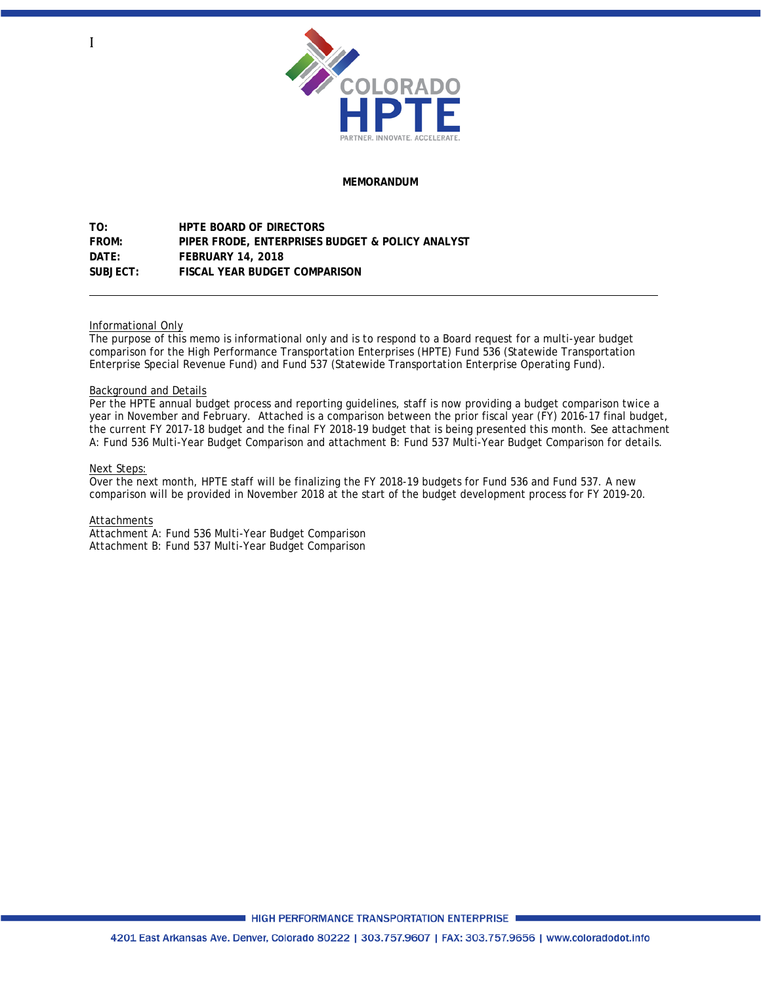

## **MEMORANDUM**

**TO: HPTE BOARD OF DIRECTORS FROM: PIPER FRODE, ENTERPRISES BUDGET & POLICY ANALYST DATE: FEBRUARY 14, 2018 SUBJECT: FISCAL YEAR BUDGET COMPARISON** 

### Informational Only

The purpose of this memo is informational only and is to respond to a Board request for a multi-year budget comparison for the High Performance Transportation Enterprises (HPTE) Fund 536 (Statewide Transportation Enterprise Special Revenue Fund) and Fund 537 (Statewide Transportation Enterprise Operating Fund).

### Background and Details

Per the HPTE annual budget process and reporting guidelines, staff is now providing a budget comparison twice a year in November and February. Attached is a comparison between the prior fiscal year (FY) 2016-17 final budget, the current FY 2017-18 budget and the final FY 2018-19 budget that is being presented this month. See attachment A: Fund 536 Multi-Year Budget Comparison and attachment B: Fund 537 Multi-Year Budget Comparison for details.

#### Next Steps:

Over the next month, HPTE staff will be finalizing the FY 2018-19 budgets for Fund 536 and Fund 537. A new comparison will be provided in November 2018 at the start of the budget development process for FY 2019-20.

#### Attachments

Attachment A: Fund 536 Multi-Year Budget Comparison Attachment B: Fund 537 Multi-Year Budget Comparison

■ HIGH PERFORMANCE TRANSPORTATION ENTERPRISE ■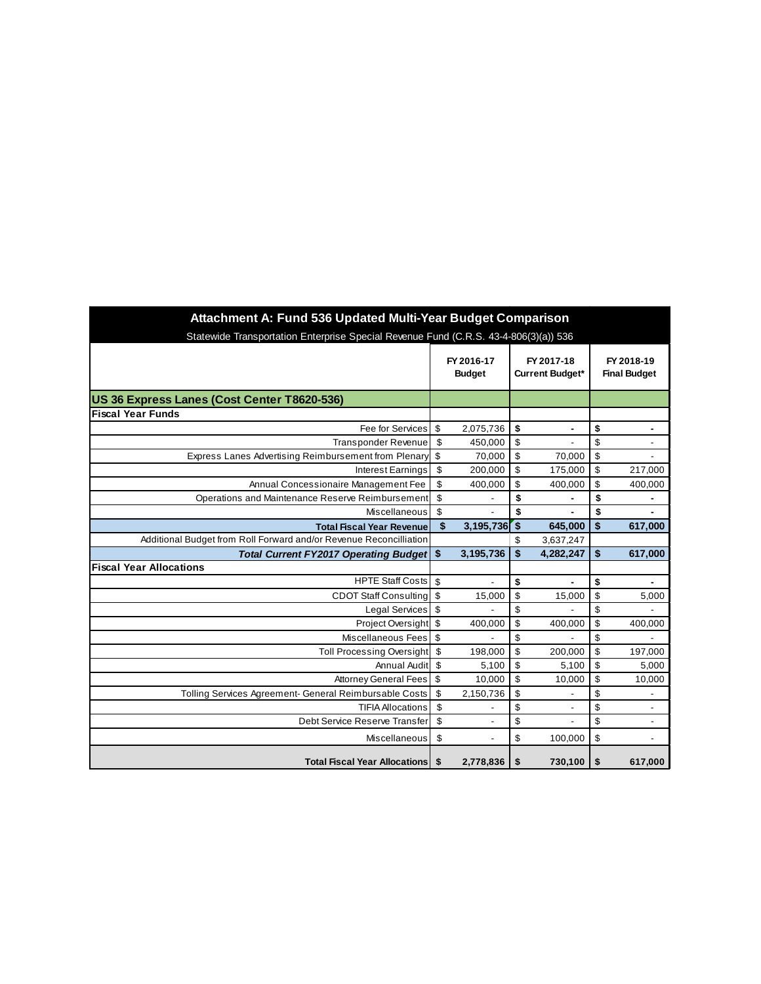| Attachment A: Fund 536 Updated Multi-Year Budget Comparison                          |                             |                          |                      |                                      |          |                                            |  |  |  |  |  |
|--------------------------------------------------------------------------------------|-----------------------------|--------------------------|----------------------|--------------------------------------|----------|--------------------------------------------|--|--|--|--|--|
| Statewide Transportation Enterprise Special Revenue Fund (C.R.S. 43-4-806(3)(a)) 536 |                             |                          |                      |                                      |          |                                            |  |  |  |  |  |
|                                                                                      | FY 2016-17<br><b>Budget</b> |                          |                      | FY 2017-18<br><b>Current Budget*</b> |          | FY 2018-19<br><b>Final Budget</b>          |  |  |  |  |  |
| US 36 Express Lanes (Cost Center T8620-536)                                          |                             |                          |                      |                                      |          |                                            |  |  |  |  |  |
| <b>Fiscal Year Funds</b>                                                             |                             |                          |                      |                                      |          |                                            |  |  |  |  |  |
| Fee for Services                                                                     | \$                          | 2,075,736                | \$                   | ۰                                    | \$       | ۰                                          |  |  |  |  |  |
| <b>Transponder Revenue</b>                                                           | \$                          | 450,000                  | \$                   |                                      | \$       | $\overline{\phantom{a}}$                   |  |  |  |  |  |
| Express Lanes Advertising Reimbursement from Plenary                                 | \$                          | 70,000                   | \$                   | 70,000                               | \$       | $\overline{\phantom{a}}$                   |  |  |  |  |  |
| Interest Earnings                                                                    | \$                          | 200,000                  | \$                   | 175,000                              | \$       | 217,000                                    |  |  |  |  |  |
| Annual Concessionaire Management Fee                                                 | \$                          | 400,000                  | \$                   | 400,000                              | \$       | 400,000                                    |  |  |  |  |  |
| Operations and Maintenance Reserve Reimbursement                                     | $\overline{\$}$             |                          | \$                   |                                      | \$       |                                            |  |  |  |  |  |
| <b>Miscellaneous</b>                                                                 | \$                          |                          | \$                   |                                      | \$       |                                            |  |  |  |  |  |
| <b>Total Fiscal Year Revenue</b>                                                     | \$                          | 3,195,736                | $\overline{\bullet}$ | 645,000                              | \$       | 617,000                                    |  |  |  |  |  |
| Additional Budget from Roll Forward and/or Revenue Reconcilliation                   |                             |                          | \$                   | 3,637,247                            |          |                                            |  |  |  |  |  |
| <b>Total Current FY2017 Operating Budget</b>                                         | \$                          | 3,195,736                | \$                   | 4,282,247                            | \$       | 617,000                                    |  |  |  |  |  |
| <b>Fiscal Year Allocations</b>                                                       |                             |                          |                      |                                      |          |                                            |  |  |  |  |  |
| <b>HPTE Staff Costs</b>                                                              | \$                          | $\overline{\phantom{a}}$ | \$                   | $\blacksquare$                       | \$       | $\blacksquare$                             |  |  |  |  |  |
| <b>CDOT Staff Consulting</b>                                                         | \$                          | 15,000                   | \$                   | 15,000                               | \$       | 5,000                                      |  |  |  |  |  |
| <b>Legal Services</b>                                                                | \$                          |                          | \$                   |                                      | \$       |                                            |  |  |  |  |  |
| Project Oversight \$                                                                 |                             | 400,000                  | \$                   | 400,000                              | \$       | 400,000                                    |  |  |  |  |  |
| Miscellaneous Fees                                                                   | \$                          |                          | \$                   |                                      | \$       |                                            |  |  |  |  |  |
| <b>Toll Processing Oversight</b>                                                     | $\sqrt[6]{3}$               | 198,000                  | \$                   | 200,000                              | \$       | 197,000                                    |  |  |  |  |  |
| Annual Audit                                                                         | \$                          | 5,100                    | \$                   | 5,100                                | \$       | 5,000                                      |  |  |  |  |  |
| <b>Attorney General Fees</b>                                                         | \$<br>\$                    | 10,000                   | \$                   | 10,000                               | \$<br>\$ | 10,000                                     |  |  |  |  |  |
| Tolling Services Agreement- General Reimbursable Costs<br><b>TIFIA Allocations</b>   | \$                          | 2,150,736                | \$<br>\$             |                                      | \$       |                                            |  |  |  |  |  |
| Debt Service Reserve Transfer                                                        | \$                          |                          | \$                   |                                      | \$       | $\overline{\phantom{a}}$<br>$\blacksquare$ |  |  |  |  |  |
|                                                                                      |                             |                          |                      |                                      |          |                                            |  |  |  |  |  |
| Miscellaneous                                                                        | \$                          |                          | \$                   | 100,000                              | \$       | $\overline{\phantom{a}}$                   |  |  |  |  |  |
| <b>Total Fiscal Year Allocations</b>                                                 | \$                          | 2,778,836                | \$                   | 730,100                              | \$       | 617,000                                    |  |  |  |  |  |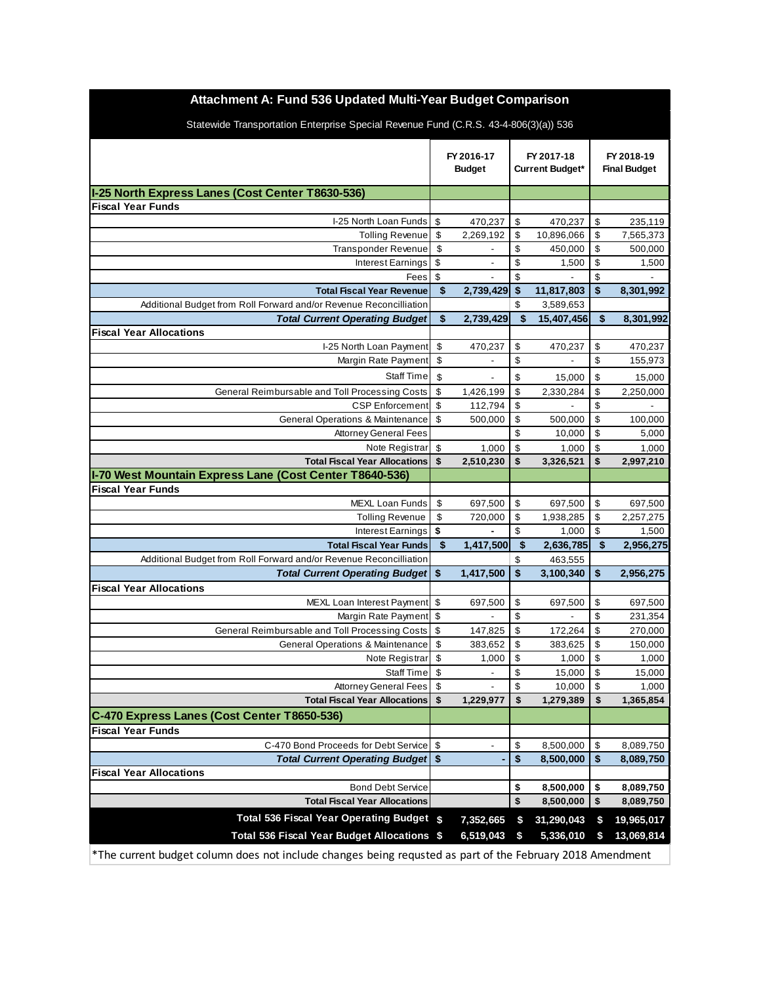| Attachment A: Fund 536 Updated Multi-Year Budget Comparison                                               |                           |                             |              |                                      |                                   |            |  |  |  |  |
|-----------------------------------------------------------------------------------------------------------|---------------------------|-----------------------------|--------------|--------------------------------------|-----------------------------------|------------|--|--|--|--|
| Statewide Transportation Enterprise Special Revenue Fund (C.R.S. 43-4-806(3)(a)) 536                      |                           |                             |              |                                      |                                   |            |  |  |  |  |
|                                                                                                           |                           | FY 2016-17<br><b>Budget</b> |              | FY 2017-18<br><b>Current Budget*</b> | FY 2018-19<br><b>Final Budget</b> |            |  |  |  |  |
| I-25 North Express Lanes (Cost Center T8630-536)                                                          |                           |                             |              |                                      |                                   |            |  |  |  |  |
| <b>Fiscal Year Funds</b>                                                                                  |                           |                             |              |                                      |                                   |            |  |  |  |  |
| I-25 North Loan Funds                                                                                     | $\boldsymbol{\mathsf{S}}$ | 470,237                     | \$           | 470,237                              | \$                                | 235,119    |  |  |  |  |
| <b>Tolling Revenue</b>                                                                                    | \$                        | 2,269,192                   | \$           | 10,896,066                           | \$                                | 7,565,373  |  |  |  |  |
| Transponder Revenue                                                                                       | \$                        |                             | \$           | 450,000                              | \$                                | 500,000    |  |  |  |  |
| <b>Interest Earnings</b>                                                                                  | \$                        |                             | \$           | 1,500                                | \$                                | 1,500      |  |  |  |  |
| Fees                                                                                                      | \$                        |                             | \$           |                                      | \$                                |            |  |  |  |  |
| <b>Total Fiscal Year Revenue</b>                                                                          | \$                        | 2,739,429                   | \$           | 11,817,803                           | \$                                | 8,301,992  |  |  |  |  |
| Additional Budget from Roll Forward and/or Revenue Reconcilliation                                        |                           |                             | \$           | 3,589,653                            |                                   |            |  |  |  |  |
| <b>Total Current Operating Budget</b>                                                                     | \$                        | 2,739,429                   | $\sqrt{2}$   | 15,407,456                           | $\sqrt[6]{\frac{1}{2}}$           | 8,301,992  |  |  |  |  |
| <b>Fiscal Year Allocations</b>                                                                            |                           |                             |              |                                      |                                   |            |  |  |  |  |
| I-25 North Loan Payment                                                                                   | \$                        | 470,237                     | \$           | 470,237                              | \$                                | 470,237    |  |  |  |  |
| Margin Rate Payment                                                                                       | \$                        |                             | \$           |                                      | \$                                | 155,973    |  |  |  |  |
| <b>Staff Time</b>                                                                                         | \$                        |                             | \$           | 15,000                               | \$                                | 15,000     |  |  |  |  |
| General Reimbursable and Toll Processing Costs                                                            | \$                        | 1,426,199                   | \$           | 2,330,284                            | \$                                | 2,250,000  |  |  |  |  |
| <b>CSP</b> Enforcement                                                                                    | \$                        | 112,794                     | \$           |                                      | \$                                |            |  |  |  |  |
| <b>General Operations &amp; Maintenance</b>                                                               | \$                        | 500,000                     | \$           | 500,000                              | \$                                | 100,000    |  |  |  |  |
| <b>Attorney General Fees</b>                                                                              |                           |                             | \$           | 10,000                               | \$                                | 5,000      |  |  |  |  |
| Note Registrar                                                                                            | \$                        | 1,000                       | \$           | 1,000                                | \$                                | 1,000      |  |  |  |  |
| <b>Total Fiscal Year Allocations</b>                                                                      | \$                        | 2,510,230                   | \$           | 3,326,521                            | \$                                | 2,997,210  |  |  |  |  |
| I-70 West Mountain Express Lane (Cost Center T8640-536)                                                   |                           |                             |              |                                      |                                   |            |  |  |  |  |
| <b>Fiscal Year Funds</b>                                                                                  |                           |                             |              |                                      |                                   |            |  |  |  |  |
| <b>MEXL Loan Funds</b>                                                                                    | \$                        | 697,500                     | \$           | 697,500                              | \$                                | 697,500    |  |  |  |  |
| <b>Tolling Revenue</b>                                                                                    | \$                        | 720,000                     | \$           | 1,938,285                            | \$                                | 2,257,275  |  |  |  |  |
| <b>Interest Earnings</b>                                                                                  | \$                        |                             | \$           | 1,000                                | \$                                | 1,500      |  |  |  |  |
| <b>Total Fiscal Year Funds</b>                                                                            | \$                        | 1,417,500                   | \$           | 2,636,785                            | \$                                | 2,956,275  |  |  |  |  |
| Additional Budget from Roll Forward and/or Revenue Reconcilliation                                        |                           |                             | \$           | 463,555                              |                                   |            |  |  |  |  |
| <b>Total Current Operating Budget</b>                                                                     | \$                        | 1,417,500                   | $\mathbf{s}$ | 3,100,340                            | \$                                | 2,956,275  |  |  |  |  |
| <b>Fiscal Year Allocations</b>                                                                            |                           |                             |              |                                      |                                   |            |  |  |  |  |
| MEXL Loan Interest Payment \$                                                                             |                           | 697,500                     | \$           | 697,500                              | \$                                | 697,500    |  |  |  |  |
| Margin Rate Payment \$                                                                                    |                           |                             | \$           |                                      | \$                                | 231,354    |  |  |  |  |
| General Reimbursable and Toll Processing Costs                                                            | \$                        | 147,825                     | \$           | 172,264                              | \$                                | 270,000    |  |  |  |  |
| General Operations & Maintenance \$                                                                       |                           | 383,652                     | \$           | 383,625                              | \$                                | 150,000    |  |  |  |  |
| Note Registrar                                                                                            | \$                        | 1,000                       | \$           | 1,000                                | \$                                | 1,000      |  |  |  |  |
| Staff Time                                                                                                | \$                        |                             | \$           | 15,000                               | \$                                | 15,000     |  |  |  |  |
| <b>Attorney General Fees</b>                                                                              | \$                        |                             | \$           | 10,000                               | \$                                | 1,000      |  |  |  |  |
| <b>Total Fiscal Year Allocations</b>                                                                      | \$                        | 1,229,977                   | \$           | 1,279,389                            | \$                                | 1,365,854  |  |  |  |  |
| C-470 Express Lanes (Cost Center T8650-536)                                                               |                           |                             |              |                                      |                                   |            |  |  |  |  |
| <b>Fiscal Year Funds</b>                                                                                  |                           |                             |              |                                      |                                   |            |  |  |  |  |
| C-470 Bond Proceeds for Debt Service                                                                      | \$                        |                             | \$           | 8,500,000                            | \$                                | 8,089,750  |  |  |  |  |
| Total Current Operating Budget   \$                                                                       |                           |                             | \$           | 8,500,000                            | \$                                | 8,089,750  |  |  |  |  |
| <b>Fiscal Year Allocations</b>                                                                            |                           |                             |              |                                      |                                   |            |  |  |  |  |
| <b>Bond Debt Service</b>                                                                                  |                           |                             | \$           | 8,500,000                            | \$                                | 8,089,750  |  |  |  |  |
| <b>Total Fiscal Year Allocations</b>                                                                      |                           |                             | \$           | 8,500,000                            | \$                                | 8,089,750  |  |  |  |  |
| Total 536 Fiscal Year Operating Budget \$                                                                 |                           | 7,352,665                   | \$           | 31,290,043                           | \$                                | 19,965,017 |  |  |  |  |
| Total 536 Fiscal Year Budget Allocations \$                                                               |                           | 6,519,043                   | \$           | 5,336,010                            | S                                 | 13,069,814 |  |  |  |  |
| *The current budget column does not include changes being requsted as part of the February 2018 Amendment |                           |                             |              |                                      |                                   |            |  |  |  |  |